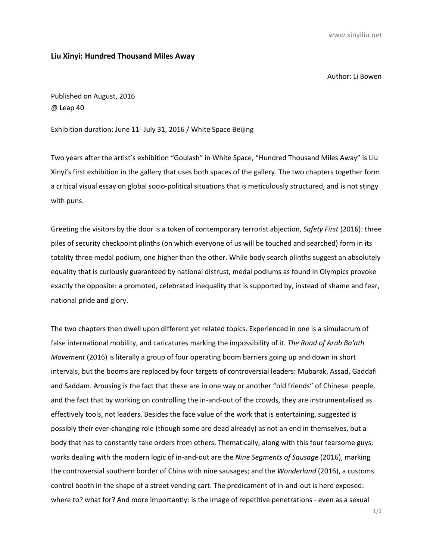www.xinyiliu.net

## **Liu Xinyi: Hundred Thousand Miles Away**

Author: Li Bowen

Published on August, 2016 @ Leap 40

Exhibition duration: June 11- July 31, 2016 / White Space Beijing

Two years after the artist's exhibition "Goulash" in White Space, "Hundred Thousand Miles Away" is Liu Xinyi's first exhibition in the gallery that uses both spaces of the gallery. The two chapters together form a critical visual essay on global socio-political situations that is meticulously structured, and is not stingy with puns.

Greeting the visitors by the door is a token of contemporary terrorist abjection, *Safety First* (2016): three piles of security checkpoint plinths (on which everyone of us will be touched and searched) form in its totality three medal podium, one higher than the other. While body search plinths suggest an absolutely equality that is curiously guaranteed by national distrust, medal podiums as found in Olympics provoke exactly the opposite: a promoted, celebrated inequality that is supported by, instead of shame and fear, national pride and glory.

The two chapters then dwell upon different yet related topics. Experienced in one is a simulacrum of false international mobility, and caricatures marking the impossibility of it. *The Road of Arab Ba'ath Movement* (2016) is literally a group of four operating boom barriers going up and down in short intervals, but the booms are replaced by four targets of controversial leaders: Mubarak, Assad, Gaddafi and Saddam. Amusing is the fact that these are in one way or another "old friends" of Chinese people, and the fact that by working on controlling the in-and-out of the crowds, they are instrumentalised as effectively tools, not leaders. Besides the face value of the work that is entertaining, suggested is possibly their ever-changing role (though some are dead already) as not an end in themselves, but a body that has to constantly take orders from others. Thematically, along with this four fearsome guys, works dealing with the modern logic of in-and-out are the *Nine Segments of Sausage* (2016), marking the controversial southern border of China with nine sausages; and the *Wonderland* (2016), a customs control booth in the shape of a street vending cart. The predicament of in-and-out is here exposed: where to? what for? And more importantly: is the image of repetitive penetrations - even as a sexual